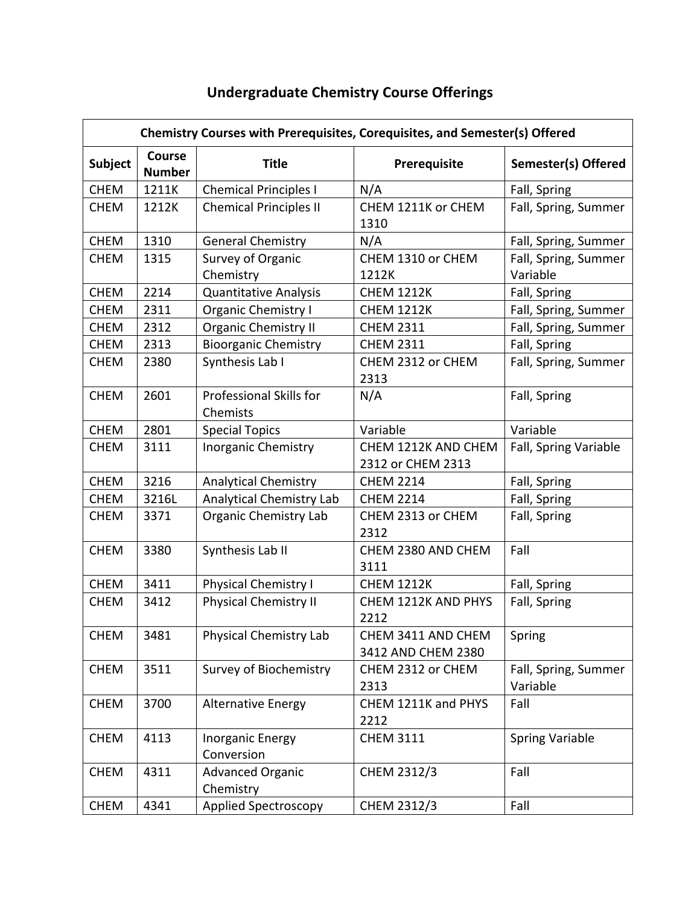## **Undergraduate Chemistry Course Offerings**

| Chemistry Courses with Prerequisites, Corequisites, and Semester(s) Offered |                                |                                       |                                          |                                  |  |  |
|-----------------------------------------------------------------------------|--------------------------------|---------------------------------------|------------------------------------------|----------------------------------|--|--|
| <b>Subject</b>                                                              | <b>Course</b><br><b>Number</b> | <b>Title</b>                          | Prerequisite                             | <b>Semester(s) Offered</b>       |  |  |
| <b>CHEM</b>                                                                 | 1211K                          | <b>Chemical Principles I</b>          | N/A                                      | Fall, Spring                     |  |  |
| <b>CHEM</b>                                                                 | 1212K                          | <b>Chemical Principles II</b>         | CHEM 1211K or CHEM<br>1310               | Fall, Spring, Summer             |  |  |
| <b>CHEM</b>                                                                 | 1310                           | <b>General Chemistry</b>              | N/A                                      | Fall, Spring, Summer             |  |  |
| <b>CHEM</b>                                                                 | 1315                           | Survey of Organic                     | CHEM 1310 or CHEM                        | Fall, Spring, Summer             |  |  |
|                                                                             |                                | Chemistry                             | 1212K                                    | Variable                         |  |  |
| <b>CHEM</b>                                                                 | 2214                           | <b>Quantitative Analysis</b>          | <b>CHEM 1212K</b>                        | Fall, Spring                     |  |  |
| <b>CHEM</b>                                                                 | 2311                           | <b>Organic Chemistry I</b>            | <b>CHEM 1212K</b>                        | Fall, Spring, Summer             |  |  |
| <b>CHEM</b>                                                                 | 2312                           | <b>Organic Chemistry II</b>           | <b>CHEM 2311</b>                         | Fall, Spring, Summer             |  |  |
| <b>CHEM</b>                                                                 | 2313                           | <b>Bioorganic Chemistry</b>           | <b>CHEM 2311</b>                         | Fall, Spring                     |  |  |
| <b>CHEM</b>                                                                 | 2380                           | Synthesis Lab I                       | CHEM 2312 or CHEM<br>2313                | Fall, Spring, Summer             |  |  |
| <b>CHEM</b>                                                                 | 2601                           | Professional Skills for<br>Chemists   | N/A                                      | Fall, Spring                     |  |  |
| <b>CHEM</b>                                                                 | 2801                           | <b>Special Topics</b>                 | Variable                                 | Variable                         |  |  |
| <b>CHEM</b>                                                                 | 3111                           | <b>Inorganic Chemistry</b>            | CHEM 1212K AND CHEM<br>2312 or CHEM 2313 | Fall, Spring Variable            |  |  |
| <b>CHEM</b>                                                                 | 3216                           | <b>Analytical Chemistry</b>           | <b>CHEM 2214</b>                         | Fall, Spring                     |  |  |
| <b>CHEM</b>                                                                 | 3216L                          | Analytical Chemistry Lab              | <b>CHEM 2214</b>                         | Fall, Spring                     |  |  |
| <b>CHEM</b>                                                                 | 3371                           | <b>Organic Chemistry Lab</b>          | CHEM 2313 or CHEM<br>2312                | Fall, Spring                     |  |  |
| <b>CHEM</b>                                                                 | 3380                           | Synthesis Lab II                      | CHEM 2380 AND CHEM<br>3111               | Fall                             |  |  |
| <b>CHEM</b>                                                                 | 3411                           | <b>Physical Chemistry I</b>           | <b>CHEM 1212K</b>                        | Fall, Spring                     |  |  |
| <b>CHEM</b>                                                                 | 3412                           | <b>Physical Chemistry II</b>          | CHEM 1212K AND PHYS<br>2212              | Fall, Spring                     |  |  |
| CHEM                                                                        | 3481                           | Physical Chemistry Lab                | CHEM 3411 AND CHEM<br>3412 AND CHEM 2380 | Spring                           |  |  |
| <b>CHEM</b>                                                                 | 3511                           | Survey of Biochemistry                | CHEM 2312 or CHEM<br>2313                | Fall, Spring, Summer<br>Variable |  |  |
| <b>CHEM</b>                                                                 | 3700                           | <b>Alternative Energy</b>             | CHEM 1211K and PHYS<br>2212              | Fall                             |  |  |
| <b>CHEM</b>                                                                 | 4113                           | <b>Inorganic Energy</b><br>Conversion | <b>CHEM 3111</b>                         | <b>Spring Variable</b>           |  |  |
| <b>CHEM</b>                                                                 | 4311                           | <b>Advanced Organic</b><br>Chemistry  | CHEM 2312/3                              | Fall                             |  |  |
| <b>CHEM</b>                                                                 | 4341                           | <b>Applied Spectroscopy</b>           | CHEM 2312/3                              | Fall                             |  |  |